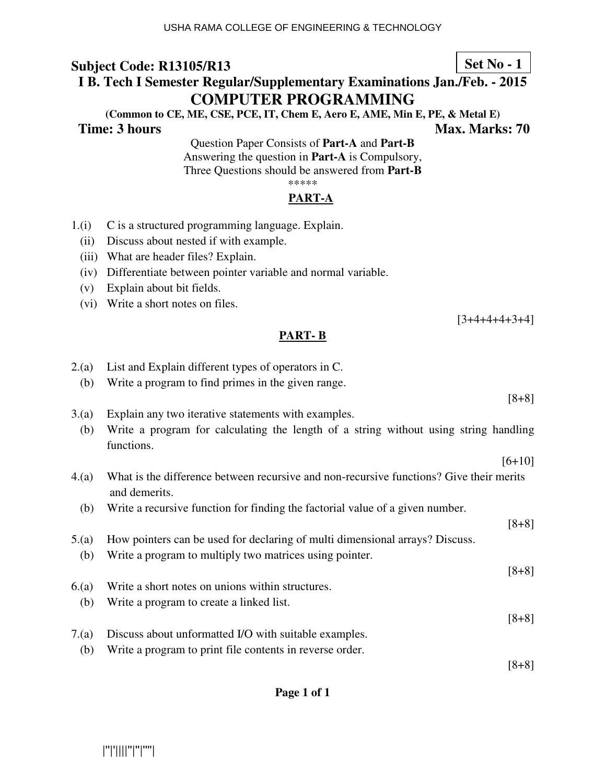# **I B. Tech I Semester Regular/Supplementary Examinations Jan./Feb. - 2015 COMPUTER PROGRAMMING**

**(Common to CE, ME, CSE, PCE, IT, Chem E, Aero E, AME, Min E, PE, & Metal E) Time: 3 hours** Max. Marks: 70

> Question Paper Consists of **Part-A** and **Part-B** Answering the question in **Part-A** is Compulsory, Three Questions should be answered from **Part-B** \*\*\*\*\*

### **PART-A**

- 1.(i) C is a structured programming language. Explain.
	- (ii) Discuss about nested if with example.
	- (iii) What are header files? Explain.
	- (iv) Differentiate between pointer variable and normal variable.
	- (v) Explain about bit fields.
	- (vi) Write a short notes on files.

### **PART- B**

| 2(a)  | List and Explain different types of operators in C.                                                      |          |
|-------|----------------------------------------------------------------------------------------------------------|----------|
| (b)   | Write a program to find primes in the given range.                                                       |          |
|       |                                                                                                          | $[8+8]$  |
| 3(a)  | Explain any two iterative statements with examples.                                                      |          |
| (b)   | Write a program for calculating the length of a string without using string handling<br>functions.       |          |
|       |                                                                                                          | $[6+10]$ |
|       |                                                                                                          |          |
| 4(a)  | What is the difference between recursive and non-recursive functions? Give their merits<br>and demerits. |          |
| (b)   | Write a recursive function for finding the factorial value of a given number.                            |          |
|       |                                                                                                          | $[8+8]$  |
| 5.(a) | How pointers can be used for declaring of multi dimensional arrays? Discuss.                             |          |
|       |                                                                                                          |          |
| (b)   | Write a program to multiply two matrices using pointer.                                                  |          |
|       |                                                                                                          | $[8+8]$  |
| 6(a)  | Write a short notes on unions within structures.                                                         |          |
| (b)   | Write a program to create a linked list.                                                                 |          |
|       |                                                                                                          | $[8+8]$  |
| 7.(a) | Discuss about unformatted I/O with suitable examples.                                                    |          |
|       |                                                                                                          |          |
| (b)   | Write a program to print file contents in reverse order.                                                 |          |
|       |                                                                                                          | $[8+8]$  |

### **Page 1 of 1**

**Set No - 1**

 $[3+4+4+4+3+4]$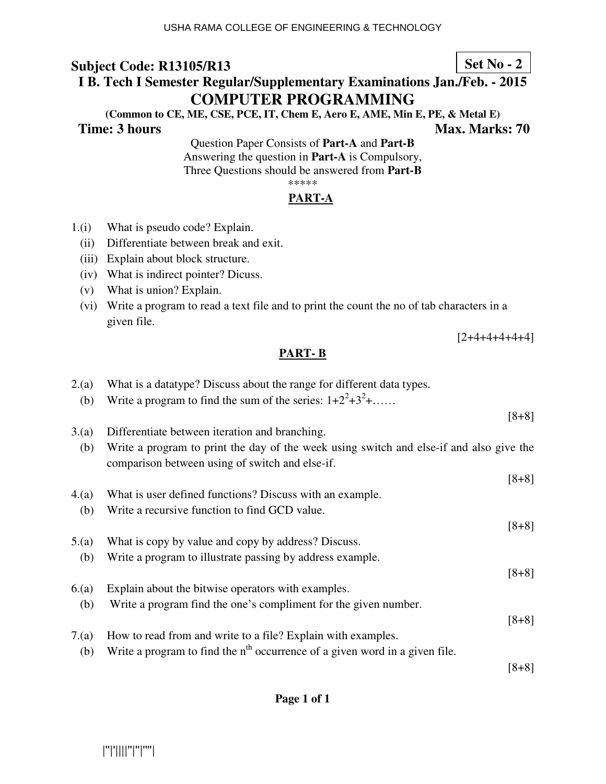# **I B. Tech I Semester Regular/Supplementary Examinations Jan./Feb. - 2015 COMPUTER PROGRAMMING**

**(Common to CE, ME, CSE, PCE, IT, Chem E, Aero E, AME, Min E, PE, & Metal E) Time: 3 hours** Max. Marks: 70

Question Paper Consists of **Part-A** and **Part-B** Answering the question in **Part-A** is Compulsory, Three Questions should be answered from **Part-B** \*\*\*\*\*

### **PART-A**

- 1.(i) What is pseudo code? Explain.
	- (ii) Differentiate between break and exit.
	- (iii) Explain about block structure.
	- (iv) What is indirect pointer? Dicuss.
	- (v) What is union? Explain.
	- (vi) Write a program to read a text file and to print the count the no of tab characters in a given file.

 $[2+4+4+4+4+4]$ 

### **PART- B**

| 2.(a) | What is a datatype? Discuss about the range for different data types.                   |         |
|-------|-----------------------------------------------------------------------------------------|---------|
| (b)   | Write a program to find the sum of the series: $1+2^2+3^2+\dots$                        |         |
|       |                                                                                         | $[8+8]$ |
| 3(a)  | Differentiate between iteration and branching.                                          |         |
| (b)   | Write a program to print the day of the week using switch and else-if and also give the |         |
|       | comparison between using of switch and else-if.                                         |         |
|       |                                                                                         | $[8+8]$ |
| 4.(a) | What is user defined functions? Discuss with an example.                                |         |
| (b)   | Write a recursive function to find GCD value.                                           |         |
|       |                                                                                         | $[8+8]$ |
| 5.(a) | What is copy by value and copy by address? Discuss.                                     |         |
| (b)   | Write a program to illustrate passing by address example.                               |         |
|       |                                                                                         | $[8+8]$ |
| 6(a)  | Explain about the bitwise operators with examples.                                      |         |
| (b)   | Write a program find the one's compliment for the given number.                         |         |
|       |                                                                                         | $[8+8]$ |
| 7.(a) | How to read from and write to a file? Explain with examples.                            |         |
| (b)   | Write a program to find the $nth$ occurrence of a given word in a given file.           |         |
|       |                                                                                         | $[8+8]$ |

### **Page 1 of 1**

**Set No - 2**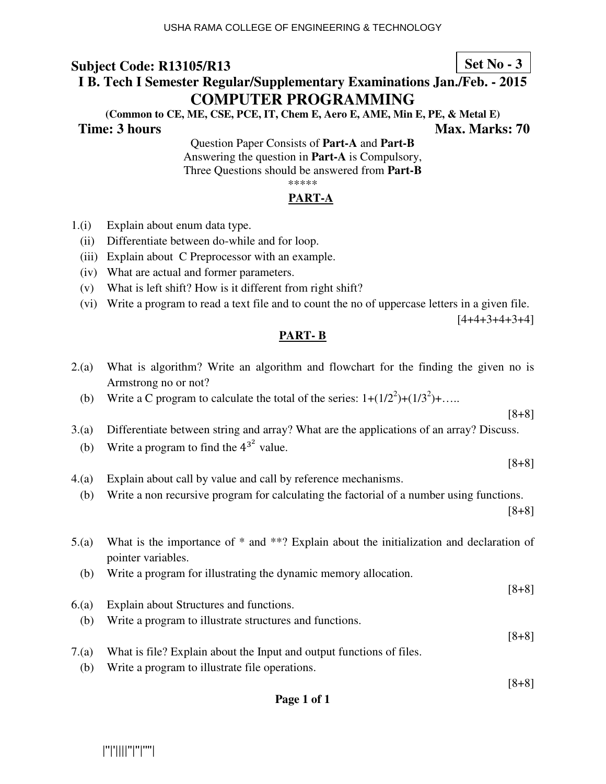# **I B. Tech I Semester Regular/Supplementary Examinations Jan./Feb. - 2015 COMPUTER PROGRAMMING**

**(Common to CE, ME, CSE, PCE, IT, Chem E, Aero E, AME, Min E, PE, & Metal E) Time: 3 hours Max. Marks: 70 Max. Marks: 70** 

Question Paper Consists of **Part-A** and **Part-B** Answering the question in **Part-A** is Compulsory,

Three Questions should be answered from **Part-B**

\*\*\*\*\*

### **PART-A**

- 1.(i) Explain about enum data type.
	- (ii) Differentiate between do-while and for loop.
	- (iii) Explain about C Preprocessor with an example.
	- (iv) What are actual and former parameters.
	- (v) What is left shift? How is it different from right shift?
	- (vi) Write a program to read a text file and to count the no of uppercase letters in a given file.

 $[4+4+3+4+3+4]$ 

### **PART- B**

- 2.(a) What is algorithm? Write an algorithm and flowchart for the finding the given no is Armstrong no or not?
- (b) Write a C program to calculate the total of the series:  $1+(1/2^2)+(1/3^2)+\dots$

[8+8] 3.(a) Differentiate between string and array? What are the applications of an array? Discuss.

(b) Write a program to find the  $4^{3^2}$  value.

[8+8]

- 4.(a) Explain about call by value and call by reference mechanisms.
	- (b) Write a non recursive program for calculating the factorial of a number using functions.

[8+8]

[8+8]

[8+8]

- 5.(a) What is the importance of \* and \*\*? Explain about the initialization and declaration of pointer variables.
	- (b) Write a program for illustrating the dynamic memory allocation.
- [8+8] 6.(a) Explain about Structures and functions. (b) Write a program to illustrate structures and functions.
- 7.(a) What is file? Explain about the Input and output functions of files.
	- (b) Write a program to illustrate file operations.

### **Page 1 of 1**

|''|'||||''|''|''''|

### **Set No - 3**